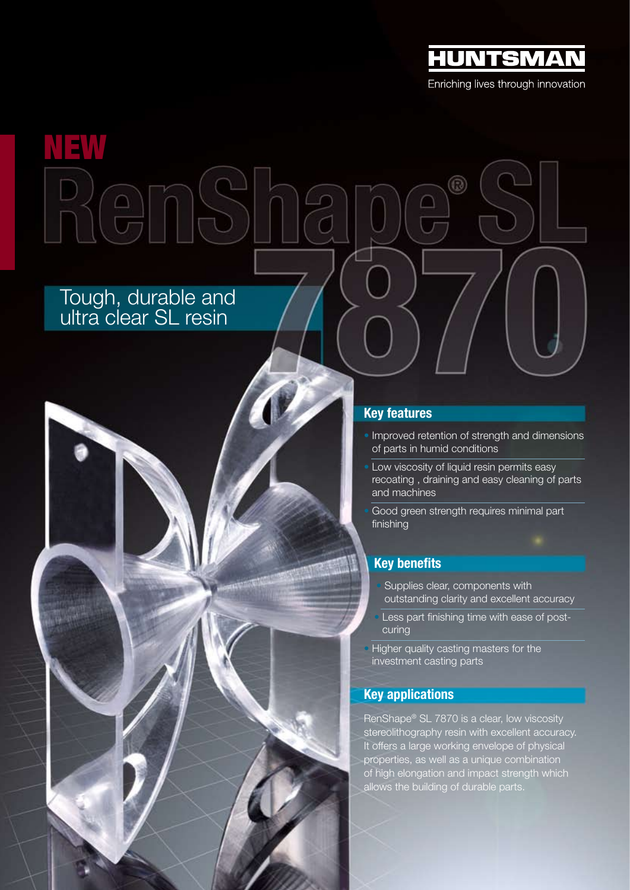

Enriching lives through innovation

# NEW $2005$

# Tough, durable and ultra clear SL resin

## Key features

• Improved retention of strength and dimensions of parts in humid conditions

 $^\circledR$ 

Low viscosity of liquid resin permits easy recoating , draining and easy cleaning of parts and machines

Good green strength requires minimal part finishing

### Key benefits

- Supplies clear, components with outstanding clarity and excellent accuracy
- Less part finishing time with ease of postcuring
- Higher quality casting masters for the investment casting parts

### Key applications

RenShape® SL 7870 is a clear, low viscosity stereolithography resin with excellent accuracy. It offers a large working envelope of physical properties, as well as a unique combination of high elongation and impact strength which allows the building of durable parts.